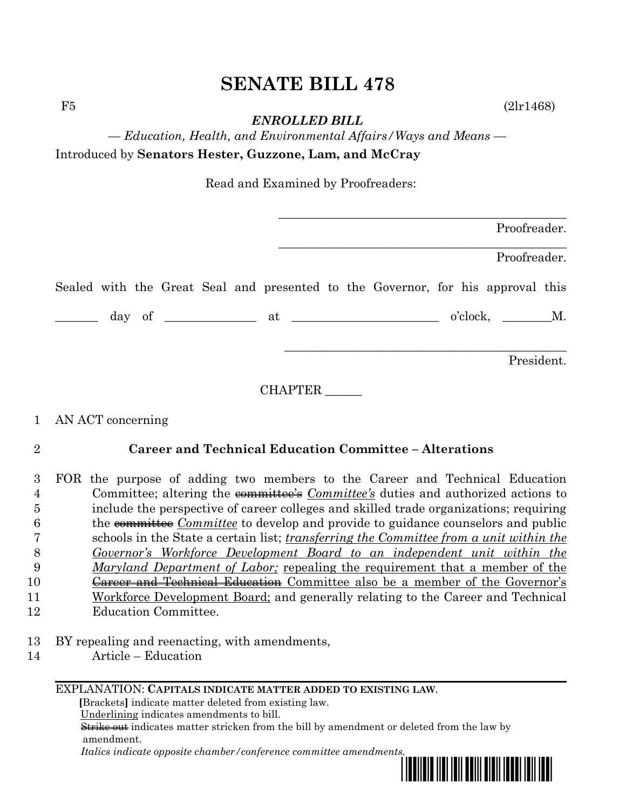# **SENATE BILL 478**

 $F5$  (2lr1468)

*ENROLLED BILL*

*— Education, Health, and Environmental Affairs/Ways and Means —* Introduced by **Senators Hester, Guzzone, Lam, and McCray**

Read and Examined by Proofreaders:

|  |  |  |  |                                                                                 | Proofreader. |  |
|--|--|--|--|---------------------------------------------------------------------------------|--------------|--|
|  |  |  |  |                                                                                 | Proofreader. |  |
|  |  |  |  | Sealed with the Great Seal and presented to the Governor, for his approval this |              |  |
|  |  |  |  | $\frac{day}{dx}$ of $\frac{du}{dx}$ at $\frac{du}{dx}$                          | o'clock, M.  |  |
|  |  |  |  |                                                                                 | President.   |  |

CHAPTER \_\_\_\_\_\_

## 1 AN ACT concerning

## 2 **Career and Technical Education Committee – Alterations**

 FOR the purpose of adding two members to the Career and Technical Education Committee; altering the committee's *Committee's* duties and authorized actions to include the perspective of career colleges and skilled trade organizations; requiring the committee *Committee* to develop and provide to guidance counselors and public schools in the State a certain list; *transferring the Committee from a unit within the Governor's Workforce Development Board to an independent unit within the Maryland Department of Labor;* repealing the requirement that a member of the **Career and Technical Education** Committee also be a member of the Governor's Workforce Development Board; and generally relating to the Career and Technical

- 12 Education Committee.
- 13 BY repealing and reenacting, with amendments,
- 14 Article Education

#### EXPLANATION: **CAPITALS INDICATE MATTER ADDED TO EXISTING LAW**.

 **[**Brackets**]** indicate matter deleted from existing law.

Underlining indicates amendments to bill.

 Strike out indicates matter stricken from the bill by amendment or deleted from the law by amendment.

 *Italics indicate opposite chamber/conference committee amendments.*

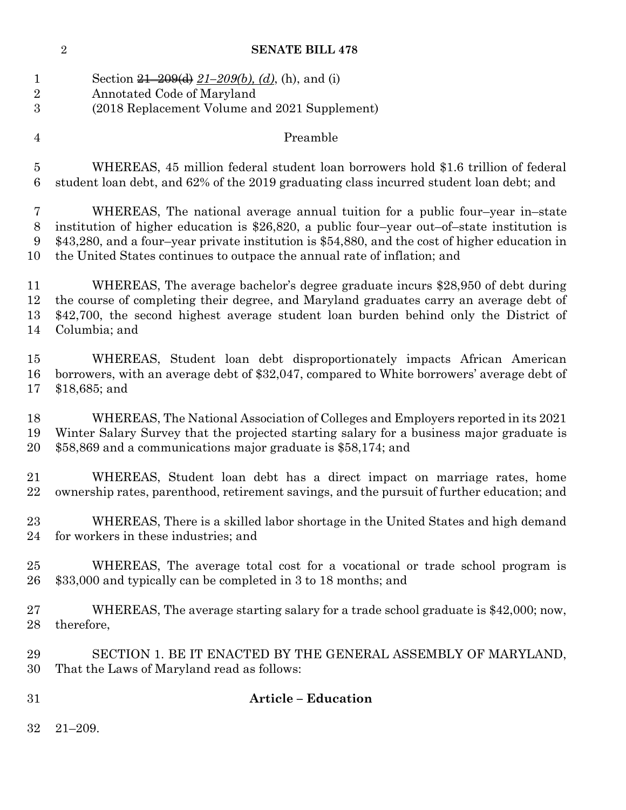# **SENATE BILL 478**

| 1               | Section $\frac{21-209(d)}{21-209(b)}$ , (d), (h), and (i)                                      |
|-----------------|------------------------------------------------------------------------------------------------|
| $\sqrt{2}$      | Annotated Code of Maryland                                                                     |
| 3               | (2018 Replacement Volume and 2021 Supplement)                                                  |
| $\overline{4}$  | Preamble                                                                                       |
| $\bf 5$         | WHEREAS, 45 million federal student loan borrowers hold \$1.6 trillion of federal              |
| $6\phantom{.}6$ | student loan debt, and 62% of the 2019 graduating class incurred student loan debt; and        |
| 7               | WHEREAS, The national average annual tuition for a public four-year in-state                   |
| 8               | institution of higher education is $$26,820$ , a public four-year out-of-state institution is  |
| 9               | \$43,280, and a four-year private institution is \$54,880, and the cost of higher education in |
| 10              | the United States continues to outpace the annual rate of inflation; and                       |
| 11              | WHEREAS, The average bachelor's degree graduate incurs \$28,950 of debt during                 |
| 12              | the course of completing their degree, and Maryland graduates carry an average debt of         |
| 13              | \$42,700, the second highest average student loan burden behind only the District of           |
| 14              | Columbia; and                                                                                  |
| 15              | WHEREAS, Student loan debt disproportionately impacts African American                         |
| 16              | borrowers, with an average debt of \$32,047, compared to White borrowers' average debt of      |
| 17              | $$18,685$ ; and                                                                                |
| 18              | WHEREAS, The National Association of Colleges and Employers reported in its 2021               |
| 19              | Winter Salary Survey that the projected starting salary for a business major graduate is       |
| 20              | \$58,869 and a communications major graduate is \$58,174; and                                  |
| 21              | WHEREAS, Student loan debt has a direct impact on marriage rates, home                         |
| 22              | ownership rates, parenthood, retirement savings, and the pursuit of further education; and     |
| 23              | WHEREAS, There is a skilled labor shortage in the United States and high demand                |
| 24              | for workers in these industries; and                                                           |
| 25              | WHEREAS, The average total cost for a vocational or trade school program is                    |
| 26              | \$33,000 and typically can be completed in 3 to 18 months; and                                 |
| 27              | WHEREAS, The average starting salary for a trade school graduate is \$42,000; now,             |
| 28              | therefore,                                                                                     |
| 29              | SECTION 1. BE IT ENACTED BY THE GENERAL ASSEMBLY OF MARYLAND,                                  |
| 30              | That the Laws of Maryland read as follows:                                                     |
| 31              | <b>Article – Education</b>                                                                     |
| 32              | $21 - 209.$                                                                                    |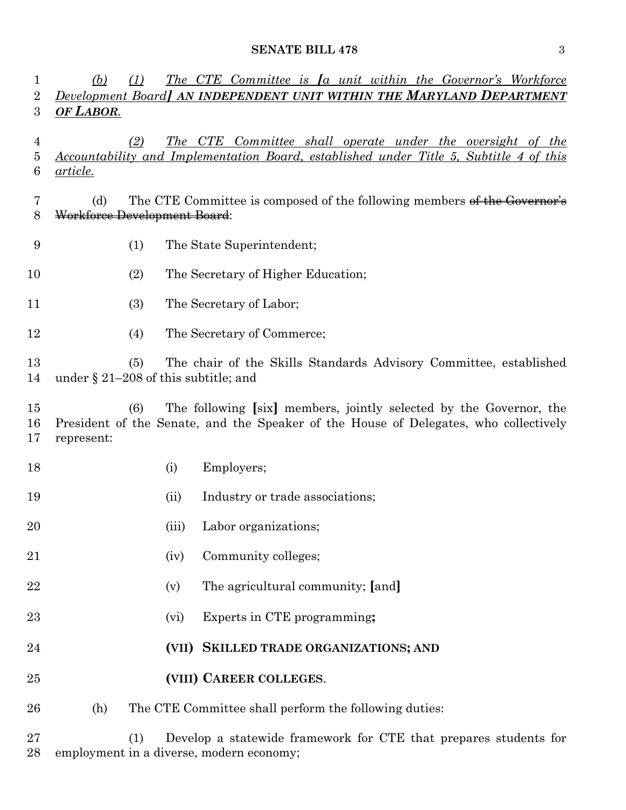### **SENATE BILL 478** 3

| 1<br>2             | (b)<br>(1)                                  |       | The CTE Committee is La unit within the Governor's Workforce<br>Development Board] AN INDEPENDENT UNIT WITHIN THE MARYLAND DEPARTMENT                      |
|--------------------|---------------------------------------------|-------|------------------------------------------------------------------------------------------------------------------------------------------------------------|
| $\boldsymbol{3}$   | <b>OF LABOR.</b>                            |       |                                                                                                                                                            |
| 4<br>5<br>6        | (2)<br><u>article.</u>                      |       | The CTE Committee shall operate under the oversight of the<br>Accountability and Implementation Board, established under Title 5, Subtitle 4 of this       |
| 7<br>8             | (d)<br>Workforce Development Board:         |       | The CTE Committee is composed of the following members of the Governor's                                                                                   |
| 9                  | (1)                                         |       | The State Superintendent;                                                                                                                                  |
| 10                 | (2)                                         |       | The Secretary of Higher Education;                                                                                                                         |
| 11                 | (3)                                         |       | The Secretary of Labor;                                                                                                                                    |
| 12                 | (4)                                         |       | The Secretary of Commerce;                                                                                                                                 |
| 13<br>14           | (5)<br>under § 21-208 of this subtitle; and |       | The chair of the Skills Standards Advisory Committee, established                                                                                          |
| $15\,$<br>16<br>17 | (6)<br>represent:                           |       | The following [six] members, jointly selected by the Governor, the<br>President of the Senate, and the Speaker of the House of Delegates, who collectively |
| 18                 |                                             | (i)   | Employers;                                                                                                                                                 |
| 19                 |                                             | (ii)  | Industry or trade associations;                                                                                                                            |
| 20                 |                                             | (iii) | Labor organizations;                                                                                                                                       |
| 21                 |                                             | (iv)  | Community colleges;                                                                                                                                        |
| 22                 |                                             | (v)   | The agricultural community; [and]                                                                                                                          |
| 23                 |                                             | (vi)  | Experts in CTE programming;                                                                                                                                |
| 24                 |                                             | (VII) | SKILLED TRADE ORGANIZATIONS; AND                                                                                                                           |
| 25                 |                                             |       | (VIII) CAREER COLLEGES.                                                                                                                                    |
| 26                 | (h)                                         |       | The CTE Committee shall perform the following duties:                                                                                                      |
|                    |                                             |       |                                                                                                                                                            |

 (1) Develop a statewide framework for CTE that prepares students for employment in a diverse, modern economy;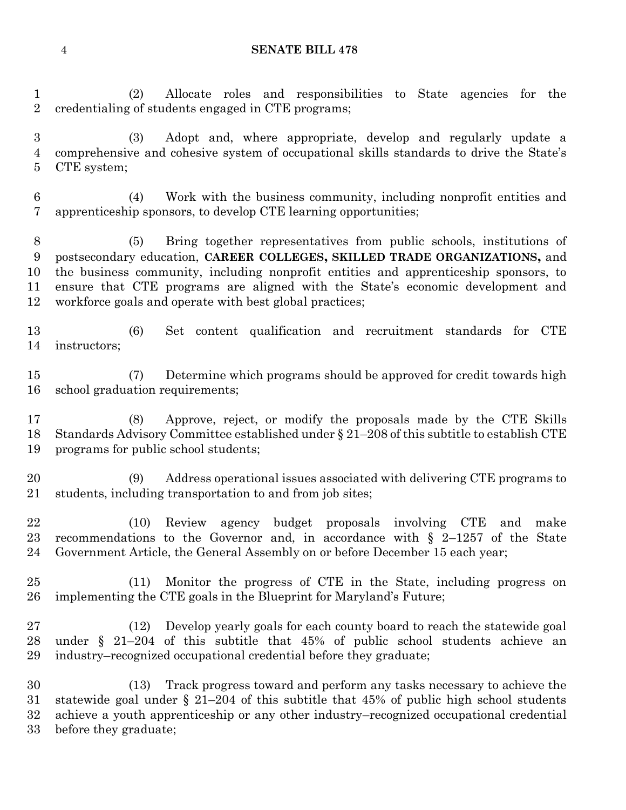#### **SENATE BILL 478**

 (2) Allocate roles and responsibilities to State agencies for the credentialing of students engaged in CTE programs;

 (3) Adopt and, where appropriate, develop and regularly update a comprehensive and cohesive system of occupational skills standards to drive the State's CTE system;

 (4) Work with the business community, including nonprofit entities and apprenticeship sponsors, to develop CTE learning opportunities;

 (5) Bring together representatives from public schools, institutions of postsecondary education, **CAREER COLLEGES, SKILLED TRADE ORGANIZATIONS,** and the business community, including nonprofit entities and apprenticeship sponsors, to ensure that CTE programs are aligned with the State's economic development and workforce goals and operate with best global practices;

 (6) Set content qualification and recruitment standards for CTE instructors;

 (7) Determine which programs should be approved for credit towards high school graduation requirements;

 (8) Approve, reject, or modify the proposals made by the CTE Skills Standards Advisory Committee established under § 21–208 of this subtitle to establish CTE programs for public school students;

 (9) Address operational issues associated with delivering CTE programs to students, including transportation to and from job sites;

 (10) Review agency budget proposals involving CTE and make recommendations to the Governor and, in accordance with § 2–1257 of the State Government Article, the General Assembly on or before December 15 each year;

 (11) Monitor the progress of CTE in the State, including progress on implementing the CTE goals in the Blueprint for Maryland's Future;

 (12) Develop yearly goals for each county board to reach the statewide goal under § 21–204 of this subtitle that 45% of public school students achieve an industry–recognized occupational credential before they graduate;

 (13) Track progress toward and perform any tasks necessary to achieve the statewide goal under § 21–204 of this subtitle that 45% of public high school students achieve a youth apprenticeship or any other industry–recognized occupational credential before they graduate;